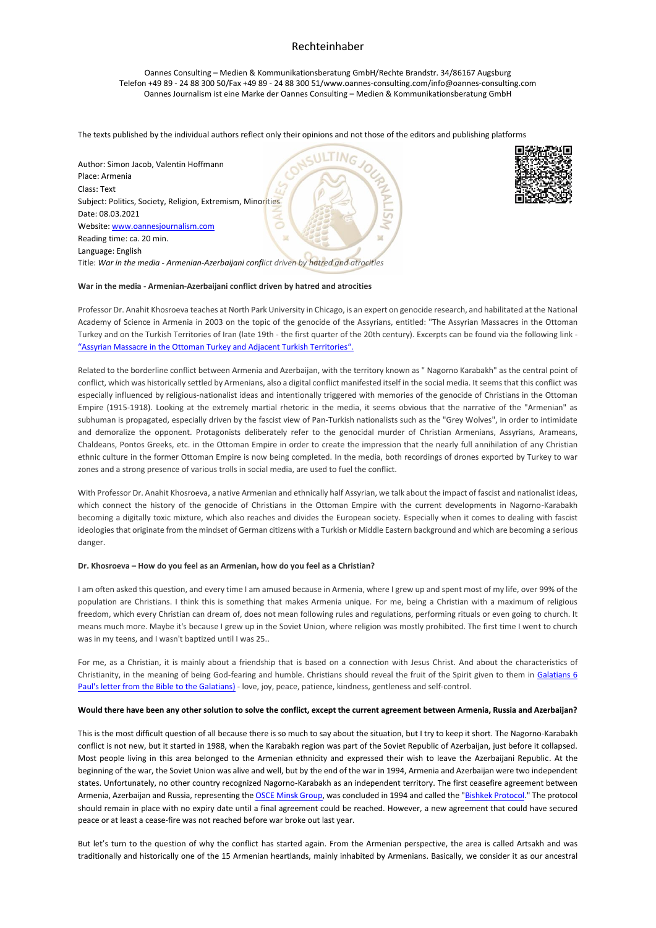Oannes Consulting – Medien & Kommunikationsberatung GmbH/Rechte Brandstr. 34/86167 Augsburg Telefon +49 89 - 24 88 300 50/Fax +49 89 - 24 88 300 51/www.oannes-consulting.com/info@oannes-consulting.com Oannes Journalism ist eine Marke der Oannes Consulting – Medien & Kommunikationsberatung GmbH

The texts published by the individual authors reflect only their opinions and not those of the editors and publishing platforms





#### **War in the media - Armenian-Azerbaijani conflict driven by hatred and atrocities**

Professor Dr. Anahit Khosroeva teaches at North Park University in Chicago, is an expert on genocide research, and habilitated at the National Academy of Science in Armenia in 2003 on the topic of the genocide of the Assyrians, entitled: "The Assyrian Massacres in the Ottoman Turkey and on the Turkish Territories of Iran (late 19th - the first quarter of the 20th century). Excerpts can be found via the following link - "Assyrian Massacre in the Ottom[an Turkey and Adjacent Turkish Territories".](http://www.aina.org/articles/amitaatt.htm)

Related to the borderline conflict between Armenia and Azerbaijan, with the territory known as " Nagorno Karabakh" as the central point of conflict, which was historically settled by Armenians, also a digital conflict manifested itself in the social media. It seems that this conflict was especially influenced by religious-nationalist ideas and intentionally triggered with memories of the genocide of Christians in the Ottoman Empire (1915-1918). Looking at the extremely martial rhetoric in the media, it seems obvious that the narrative of the "Armenian" as subhuman is propagated, especially driven by the fascist view of Pan-Turkish nationalists such as the "Grey Wolves", in order to intimidate and demoralize the opponent. Protagonists deliberately refer to the genocidal murder of Christian Armenians, Assyrians, Arameans, Chaldeans, Pontos Greeks, etc. in the Ottoman Empire in order to create the impression that the nearly full annihilation of any Christian ethnic culture in the former Ottoman Empire is now being completed. In the media, both recordings of drones exported by Turkey to war zones and a strong presence of various trolls in social media, are used to fuel the conflict.

With Professor Dr. Anahit Khosroeva, a native Armenian and ethnically half Assyrian, we talk about the impact of fascist and nationalist ideas, which connect the history of the genocide of Christians in the Ottoman Empire with the current developments in Nagorno-Karabakh becoming a digitally toxic mixture, which also reaches and divides the European society. Especially when it comes to dealing with fascist ideologies that originate from the mindset of German citizens with a Turkish or Middle Eastern background and which are becoming a serious danger.

#### **Dr. Khosroeva – How do you feel as an Armenian, how do you feel as a Christian?**

I am often asked this question, and every time I am amused because in Armenia, where I grew up and spent most of my life, over 99% of the population are Christians. I think this is something that makes Armenia unique. For me, being a Christian with a maximum of religious freedom, which every Christian can dream of, does not mean following rules and regulations, performing rituals or even going to church. It means much more. Maybe it's because I grew up in the Soviet Union, where religion was mostly prohibited. The first time I went to church was in my teens, and I wasn't baptized until I was 25..

For me, as a Christian, it is mainly about a friendship that is based on a connection with Jesus Christ. And about the characteristics of Christianity, in the meaning of being God-fearing and humble. Christians should reveal the fruit of the Spirit given to them in [Galatians 6](https://www.dropbox.com/sh/5qc5dp03g2l5hwl/AAADs9NIexaQkyNohdbkbNzHa?dl=0)  [Paul's letter from the Bible to the Galatians\)](https://www.dropbox.com/sh/5qc5dp03g2l5hwl/AAADs9NIexaQkyNohdbkbNzHa?dl=0) - love, joy, peace, patience, kindness, gentleness and self-control.

#### **Would there have been any other solution to solve the conflict, except the current agreement between Armenia, Russia and Azerbaijan?**

This is the most difficult question of all because there is so much to say about the situation, but I try to keep it short. The Nagorno-Karabakh conflict is not new, but it started in 1988, when the Karabakh region was part of the Soviet Republic of Azerbaijan, just before it collapsed. Most people living in this area belonged to the Armenian ethnicity and expressed their wish to leave the Azerbaijani Republic. At the beginning of the war, the Soviet Union was alive and well, but by the end of the war in 1994, Armenia and Azerbaijan were two independent states. Unfortunately, no other country recognized Nagorno-Karabakh as an independent territory. The first ceasefire agreement between Armenia, Azerbaijan and Russia, representing th[e OSCE Minsk Group,](https://en.wikipedia.org/wiki/OSCE_Minsk_Group) was concluded in 1994 and called the ["Bishkek Protocol.](https://en.wikipedia.org/wiki/Bishkek_Protocol)" The protocol should remain in place with no expiry date until a final agreement could be reached. However, a new agreement that could have secured peace or at least a cease-fire was not reached before war broke out last year.

But let's turn to the question of why the conflict has started again. From the Armenian perspective, the area is called Artsakh and was traditionally and historically one of the 15 Armenian heartlands, mainly inhabited by Armenians. Basically, we consider it as our ancestral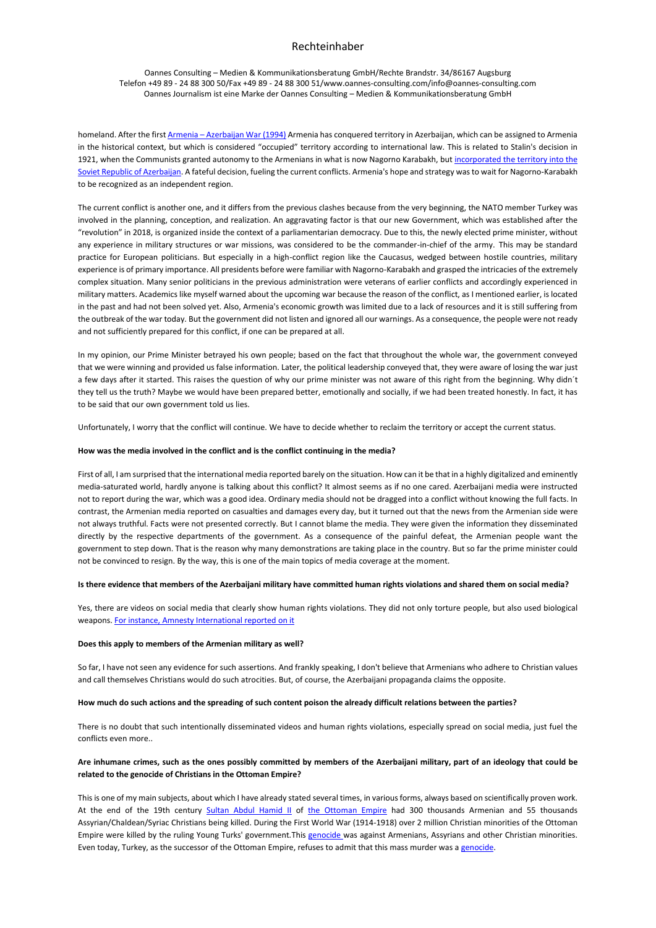Oannes Consulting – Medien & Kommunikationsberatung GmbH/Rechte Brandstr. 34/86167 Augsburg Telefon +49 89 - 24 88 300 50/Fax +49 89 - 24 88 300 51/www.oannes-consulting.com/info@oannes-consulting.com Oannes Journalism ist eine Marke der Oannes Consulting – Medien & Kommunikationsberatung GmbH

homeland. After the first Armenia - [Azerbaijan War](https://en.wikipedia.org/wiki/First_Nagorno-Karabakh_War) (1994) Armenia has conquered territory in Azerbaijan, which can be assigned to Armenia in the historical context, but which is considered "occupied" territory according to international law. This is related to Stalin's decision in 1921, when the Communists granted autonomy to the Armenians in what is now Nagorno Karabakh, but incorporated the territory into the [Soviet Republic of Azerbaijan.](https://en.wikipedia.org/wiki/First_Nagorno-Karabakh_War) A fateful decision, fueling the current conflicts. Armenia's hope and strategy was to wait for Nagorno-Karabakh to be recognized as an independent region.

The current conflict is another one, and it differs from the previous clashes because from the very beginning, the NATO member Turkey was involved in the planning, conception, and realization. An aggravating factor is that our new Government, which was established after the "revolution" in 2018, is organized inside the context of a parliamentarian democracy. Due to this, the newly elected prime minister, without any experience in military structures or war missions, was considered to be the commander-in-chief of the army. This may be standard practice for European politicians. But especially in a high-conflict region like the Caucasus, wedged between hostile countries, military experience is of primary importance. All presidents before were familiar with Nagorno-Karabakh and grasped the intricacies of the extremely complex situation. Many senior politicians in the previous administration were veterans of earlier conflicts and accordingly experienced in military matters. Academics like myself warned about the upcoming war because the reason of the conflict, as I mentioned earlier, is located in the past and had not been solved yet. Also, Armenia's economic growth was limited due to a lack of resources and it is still suffering from the outbreak of the war today. But the government did not listen and ignored all our warnings. As a consequence, the people were not ready and not sufficiently prepared for this conflict, if one can be prepared at all.

In my opinion, our Prime Minister betrayed his own people; based on the fact that throughout the whole war, the government conveyed that we were winning and provided us false information. Later, the political leadership conveyed that, they were aware of losing the war just a few days after it started. This raises the question of why our prime minister was not aware of this right from the beginning. Why didn´t they tell us the truth? Maybe we would have been prepared better, emotionally and socially, if we had been treated honestly. In fact, it has to be said that our own government told us lies.

Unfortunately, I worry that the conflict will continue. We have to decide whether to reclaim the territory or accept the current status.

### **How was the media involved in the conflict and is the conflict continuing in the media?**

First of all, I am surprised that the international media reported barely on the situation. How can it be that in a highly digitalized and eminently media-saturated world, hardly anyone is talking about this conflict? It almost seems as if no one cared. Azerbaijani media were instructed not to report during the war, which was a good idea. Ordinary media should not be dragged into a conflict without knowing the full facts. In contrast, the Armenian media reported on casualties and damages every day, but it turned out that the news from the Armenian side were not always truthful. Facts were not presented correctly. But I cannot blame the media. They were given the information they disseminated directly by the respective departments of the government. As a consequence of the painful defeat, the Armenian people want the government to step down. That is the reason why many demonstrations are taking place in the country. But so far the prime minister could not be convinced to resign. By the way, this is one of the main topics of media coverage at the moment.

### **Is there evidence that members of the Azerbaijani military have committed human rights violations and shared them on social media?**

Yes, there are videos on social media that clearly show human rights violations. They did not only torture people, but also used biological weapons[. For instance, Amnesty International reported on it](https://www.amnesty.org/en/latest/news/2020/12/armenia-azerbaijan-decapitation-and-war-crimes-in-gruesome-videos-must-be-urgently-investigated/)

### **Does this apply to members of the Armenian military as well?**

So far, I have not seen any evidence for such assertions. And frankly speaking, I don't believe that Armenians who adhere to Christian values and call themselves Christians would do such atrocities. But, of course, the Azerbaijani propaganda claims the opposite.

### **How much do such actions and the spreading of such content poison the already difficult relations between the parties?**

There is no doubt that such intentionally disseminated videos and human rights violations, especially spread on social media, just fuel the conflicts even more..

## **Are inhumane crimes, such as the ones possibly committed by members of the Azerbaijani military, part of an ideology that could be related to the genocide of Christians in the Ottoman Empire?**

This is one of my main subjects, about which I have already stated several times, in various forms, always based on scientifically proven work. At the end of the 19th century [Sultan Abdul Hamid II](https://en.wikipedia.org/wiki/Abdul_Hamid_II) of [the Ottoman Empire](https://en.wikipedia.org/wiki/Ottoman_Empire) had 300 thousands Armenian and 55 thousands Assyrian/Chaldean/Syriac Christians being killed. During the First World War (1914-1918) over 2 million Christian minorities of the Ottoman Empire were killed by the ruling Young Turks' government.This [genocide w](https://en.wikipedia.org/wiki/Armenian_Genocide)as against Armenians, Assyrians and other Christian minorities. Even today, Turkey, as the successor of the Ottoman Empire, refuses to admit that this mass murder was a [genocide.](https://en.wikipedia.org/wiki/Armenian_Genocide)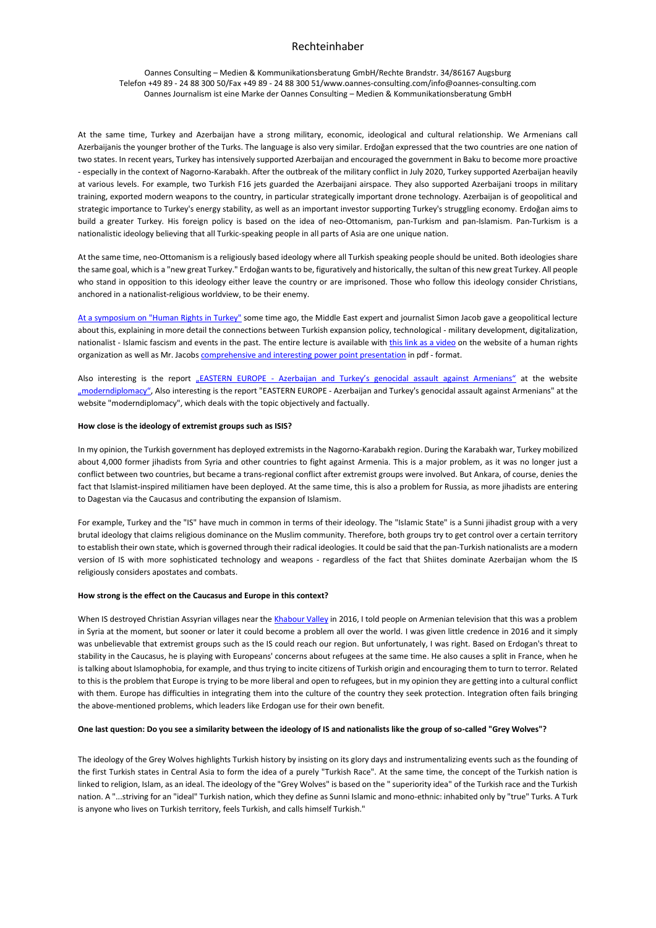Oannes Consulting – Medien & Kommunikationsberatung GmbH/Rechte Brandstr. 34/86167 Augsburg Telefon +49 89 - 24 88 300 50/Fax +49 89 - 24 88 300 51/www.oannes-consulting.com/info@oannes-consulting.com Oannes Journalism ist eine Marke der Oannes Consulting – Medien & Kommunikationsberatung GmbH

At the same time, Turkey and Azerbaijan have a strong military, economic, ideological and cultural relationship. We Armenians call Azerbaijanis the younger brother of the Turks. The language is also very similar. Erdoğan expressed that the two countries are one nation of two states. In recent years, Turkey has intensively supported Azerbaijan and encouraged the government in Baku to become more proactive - especially in the context of Nagorno-Karabakh. After the outbreak of the military conflict in July 2020, Turkey supported Azerbaijan heavily at various levels. For example, two Turkish F16 jets guarded the Azerbaijani airspace. They also supported Azerbaijani troops in military training, exported modern weapons to the country, in particular strategically important drone technology. Azerbaijan is of geopolitical and strategic importance to Turkey's energy stability, as well as an important investor supporting Turkey's struggling economy. Erdoğan aims to build a greater Turkey. His foreign policy is based on the idea of neo-Ottomanism, pan-Turkism and pan-Islamism. Pan-Turkism is a nationalistic ideology believing that all Turkic-speaking people in all parts of Asia are one unique nation.

At the same time, neo-Ottomanism is a religiously based ideology where all Turkish speaking people should be united. Both ideologies share the same goal, which is a "new great Turkey." Erdoğan wants to be, figuratively and historically, the sultan of this new great Turkey. All people who stand in opposition to this ideology either leave the country or are imprisoned. Those who follow this ideology consider Christians, anchored in a nationalist-religious worldview, to be their enemy.

[At a symposium on "Human Rights](https://www.igfm.de/online-symposium-zur-menschenrechtslage-in-der-tuerkei/) in Turkey" some time ago, the Middle East expert and journalist Simon Jacob gave a geopolitical lecture about this, explaining in more detail the connections between Turkish expansion policy, technological - military development, digitalization, nationalist - Islamic fascism and events in the past. The entire lecture is available wit[h this link as a video](https://youtu.be/SRS6dSKrLqQ) on the website of a human rights organization as well as Mr. Jacob[s comprehensive and interesting power point presentation](https://www.igfm.de/wp-content/uploads/2021/02/IGFM_V2_18022021_Tuerkei_Menschenrechte_SJ_V1.pdf) in pdf - format.

Also interesting is the report "EASTERN EUROPE - [Azerbaijan and Turkey's genocidal assault against Armenians"](https://moderndiplomacy.eu/2020/12/16/37624/?fbclid=IwAR24ZJdOGirswRuDC3EdgGnDvKco8TSWrUCJYfl7pSdT4YsLbejEGLPnZhQ) at the website ["moderndiplomacy"](https://moderndiplomacy.eu/), Also interesting is the report "EASTERN EUROPE - Azerbaijan and Turkey's genocidal assault against Armenians" at the website "moderndiplomacy", which deals with the topic objectively and factually.

### **How close is the ideology of extremist groups such as ISIS?**

In my opinion, the Turkish government has deployed extremists in the Nagorno-Karabakh region. During the Karabakh war, Turkey mobilized about 4,000 former jihadists from Syria and other countries to fight against Armenia. This is a major problem, as it was no longer just a conflict between two countries, but became a trans-regional conflict after extremist groups were involved. But Ankara, of course, denies the fact that Islamist-inspired militiamen have been deployed. At the same time, this is also a problem for Russia, as more jihadists are entering to Dagestan via the Caucasus and contributing the expansion of Islamism.

For example, Turkey and the "IS" have much in common in terms of their ideology. The "Islamic State" is a Sunni jihadist group with a very brutal ideology that claims religious dominance on the Muslim community. Therefore, both groups try to get control over a certain territory to establish their own state, which is governed through their radical ideologies. It could be said that the pan-Turkish nationalists are a modern version of IS with more sophisticated technology and weapons - regardless of the fact that Shiites dominate Azerbaijan whom the IS religiously considers apostates and combats.

## **How strong is the effect on the Caucasus and Europe in this context?**

When IS destroyed Christian Assyrian villages near the [Khabour Valley](https://en.wikipedia.org/wiki/Khabour_Guards) in 2016, I told people on Armenian television that this was a problem in Syria at the moment, but sooner or later it could become a problem all over the world. I was given little credence in 2016 and it simply was unbelievable that extremist groups such as the IS could reach our region. But unfortunately, I was right. Based on Erdogan's threat to stability in the Caucasus, he is playing with Europeans' concerns about refugees at the same time. He also causes a split in France, when he is talking about Islamophobia, for example, and thus trying to incite citizens of Turkish origin and encouraging them to turn to terror. Related to this is the problem that Europe is trying to be more liberal and open to refugees, but in my opinion they are getting into a cultural conflict with them. Europe has difficulties in integrating them into the culture of the country they seek protection. Integration often fails bringing the above-mentioned problems, which leaders like Erdogan use for their own benefit.

## **One last question: Do you see a similarity between the ideology of IS and nationalists like the group of so-called "Grey Wolves"?**

The ideology of the Grey Wolves highlights Turkish history by insisting on its glory days and instrumentalizing events such as the founding of the first Turkish states in Central Asia to form the idea of a purely "Turkish Race". At the same time, the concept of the Turkish nation is linked to religion, Islam, as an ideal. The ideology of the "Grey Wolves" is based on the " superiority idea" of the Turkish race and the Turkish nation. A "...striving for an "ideal" Turkish nation, which they define as Sunni Islamic and mono-ethnic: inhabited only by "true" Turks. A Turk is anyone who lives on Turkish territory, feels Turkish, and calls himself Turkish."